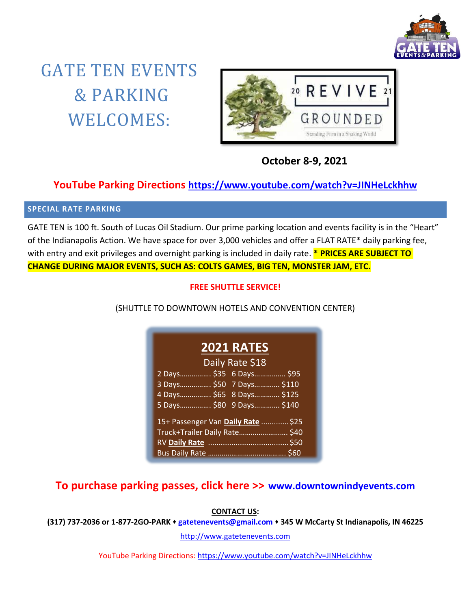

# GATE TEN EVENTS & PARKING WELCOMES:



 **October 8-9, 2021**

### **YouTube Parking Directions <https://www.youtube.com/watch?v=JINHeLckhhw>**

### **SPECIAL RATE PARKING**

GATE TEN is 100 ft. South of Lucas Oil Stadium. Our prime parking location and events facility is in the "Heart" of the Indianapolis Action. We have space for over 3,000 vehicles and offer a FLAT RATE\* daily parking fee, with entry and exit privileges and overnight parking is included in daily rate. **\* PRICES ARE SUBJECT TO CHANGE DURING MAJOR EVENTS, SUCH AS: COLTS GAMES, BIG TEN, MONSTER JAM, ETC.**

### **FREE SHUTTLE SERVICE!**

(SHUTTLE TO DOWNTOWN HOTELS AND CONVENTION CENTER)

## **2021 RATES** Daily Rate \$18

| 2 Days \$35 6 Days \$95  |                                    |
|--------------------------|------------------------------------|
| 3 Days \$50 7 Days \$110 |                                    |
| 4 Days \$65 8 Days \$125 |                                    |
| 5 Days \$80 9 Days \$140 |                                    |
|                          |                                    |
|                          |                                    |
|                          | 15+ Passenger Van Daily Rate  \$25 |
|                          | Truck+Trailer Daily Rate \$40      |
|                          |                                    |

**To purchase parking passes, click here >> [www.downtownindyevents.com](http://www.downtownindyevents.com/)**

**CONTACT US:**

**(317) 737-2036 or 1-877-2GO-PARK [gatetenevents@gmail.com](mailto:gatetenevents@gmail.com) 345 W McCarty St Indianapolis, IN 46225**

[http://www.gatetenevents.com](http://www.gatetenevents.com/)

YouTube Parking Directions:<https://www.youtube.com/watch?v=JINHeLckhhw>